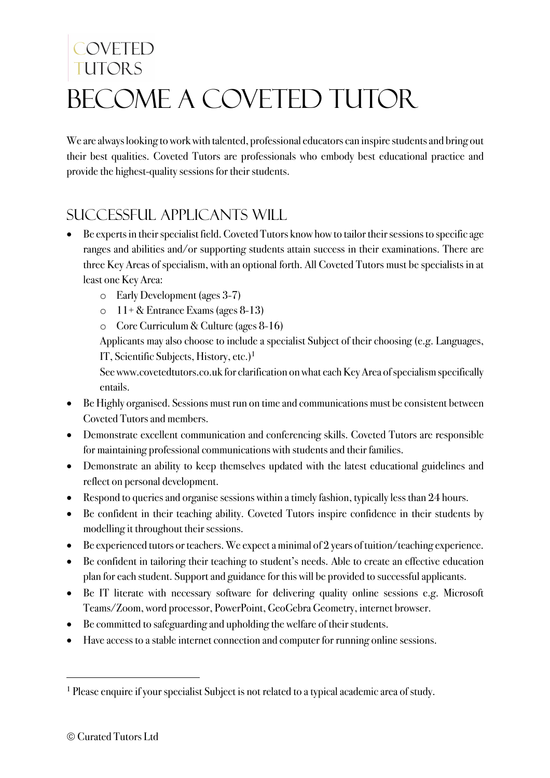# COVETED TUTORS BECOME A COVETED TUTOR

We are always looking to work with talented, professional educators can inspire students and bring out their best qualities. Coveted Tutors are professionals who embody best educational practice and provide the highest-quality sessions for their students.

### Successful applicants will

- Be experts in their specialist field. Coveted Tutors know how to tailor their sessions to specific age ranges and abilities and/or supporting students attain success in their examinations. There are three Key Areas of specialism, with an optional forth. All Coveted Tutors must be specialists in at least one Key Area:
	- o Early Development (ages 3-7)
	- $\circ$  11+ & Entrance Exams (ages 8-13)
	- o Core Curriculum & Culture (ages 8-16)

Applicants may also choose to include a specialist Subject of their choosing (e.g. Languages, IT, Scientific Subjects, History, etc.)<sup>1</sup>

See www.covetedtutors.co.uk for clarification on what each Key Area of specialism specifically entails.

- Be Highly organised. Sessions must run on time and communications must be consistent between Coveted Tutors and members.
- Demonstrate excellent communication and conferencing skills. Coveted Tutors are responsible for maintaining professional communications with students and their families.
- Demonstrate an ability to keep themselves updated with the latest educational guidelines and reflect on personal development.
- Respond to queries and organise sessions within a timely fashion, typically less than 24 hours.
- Be confident in their teaching ability. Coveted Tutors inspire confidence in their students by modelling it throughout their sessions.
- Be experienced tutors or teachers. We expect a minimal of 2 years of tuition/teaching experience.
- Be confident in tailoring their teaching to student's needs. Able to create an effective education plan for each student. Support and guidance for this will be provided to successful applicants.
- Be IT literate with necessary software for delivering quality online sessions e.g. Microsoft Teams/Zoom, word processor, PowerPoint, GeoGebra Geometry, internet browser.
- Be committed to safeguarding and upholding the welfare of their students.
- Have access to a stable internet connection and computer for running online sessions.

<sup>&</sup>lt;sup>1</sup> Please enquire if your specialist Subject is not related to a typical academic area of study.